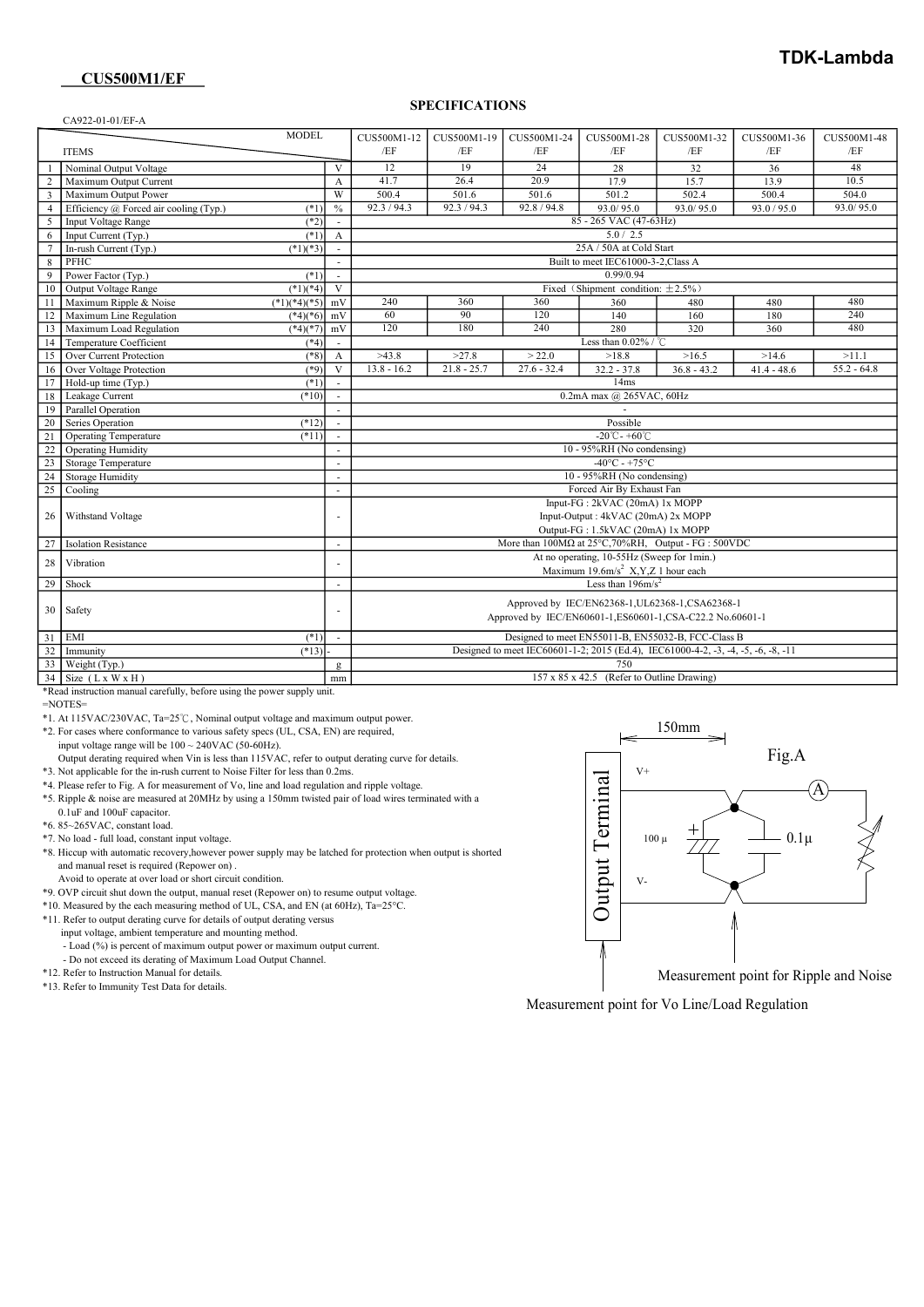## CUS500M1/EF

# TDK-Lambda

### SPECIFICATIONS

|                                                     | CA922-01-01/EF-A                                                                                              |              |                                                                                                              |                                     |               |                                                                                   |                                    |               |               |  |
|-----------------------------------------------------|---------------------------------------------------------------------------------------------------------------|--------------|--------------------------------------------------------------------------------------------------------------|-------------------------------------|---------------|-----------------------------------------------------------------------------------|------------------------------------|---------------|---------------|--|
|                                                     | <b>MODEL</b>                                                                                                  |              | CUS500M1-12                                                                                                  | CUS500M1-19                         | CUS500M1-24   | CUS500M1-28                                                                       | CUS500M1-32                        | CUS500M1-36   | CUS500M1-48   |  |
|                                                     | <b>ITEMS</b>                                                                                                  |              | /EF                                                                                                          | /EF                                 | /EF           | /EF                                                                               | /EF                                | /EF           | /EF           |  |
| -1                                                  | Nominal Output Voltage                                                                                        | V            | 12                                                                                                           | 19                                  | 24            | 28                                                                                | 32                                 | 36            | 48            |  |
| 2                                                   | Maximum Output Current                                                                                        | $\mathbf{A}$ | 41.7                                                                                                         | 26.4                                | 20.9          | 17.9                                                                              | 15.7                               | 13.9          | 10.5          |  |
| $\overline{\phantom{a}}$                            | Maximum Output Power                                                                                          | W            | 500.4                                                                                                        | 501.6                               | 501.6         | 501.2                                                                             | 502.4                              | 500.4         | 504.0         |  |
| $\overline{4}$                                      | Efficiency @ Forced air cooling (Typ.)<br>$(*1)$                                                              | $\%$         | 92.3 / 94.3                                                                                                  | 92.3 / 94.3                         | 92.8 / 94.8   | 93.0/95.0                                                                         | 93.0/95.0                          | 93.0 / 95.0   | 93.0/95.0     |  |
| $5\overline{5}$                                     | Input Voltage Range<br>$(*2)$                                                                                 |              |                                                                                                              |                                     |               | 85 - 265 VAC (47-63Hz)                                                            |                                    |               |               |  |
| 6                                                   | Input Current (Typ.)<br>$(*1)$                                                                                | $\mathbf{A}$ |                                                                                                              |                                     |               | 5.0 / 2.5                                                                         |                                    |               |               |  |
| $\sqrt{7}$                                          | In-rush Current (Typ.)<br>$(*1)(*3)$                                                                          |              |                                                                                                              |                                     |               | 25A / 50A at Cold Start                                                           |                                    |               |               |  |
| 8 <sup>8</sup>                                      | PFHC                                                                                                          |              |                                                                                                              | Built to meet IEC61000-3-2, Class A |               |                                                                                   |                                    |               |               |  |
| - 9                                                 | Power Factor (Typ.)<br>$(*1)$                                                                                 | $\sim$       | 0.99/0.94                                                                                                    |                                     |               |                                                                                   |                                    |               |               |  |
| 10                                                  | Output Voltage Range<br>$(*1)(*4)$ V                                                                          |              |                                                                                                              |                                     |               | Fixed (Shipment condition: $\pm 2.5\%$ )                                          |                                    |               |               |  |
| 11                                                  | Maximum Ripple & Noise<br>$(*1)(*4)(*5)$ mV                                                                   |              | 240                                                                                                          | 360                                 | 360           | 360                                                                               | 480                                | 480           | 480           |  |
| 12                                                  | Maximum Line Regulation<br>$(*4)(*6)$ mV                                                                      |              | 60                                                                                                           | 90                                  | 120           | 140                                                                               | 160                                | 180           | 240           |  |
| 13                                                  | Maximum Load Regulation<br>$(*4)(*7)$                                                                         | $\rm mV$     | 120                                                                                                          | 180                                 | 240           | 280                                                                               | 320                                | 360           | 480           |  |
| 14                                                  | Temperature Coefficient<br>$(*4)$                                                                             |              |                                                                                                              |                                     |               | Less than $0.02\%$ / °C                                                           |                                    |               |               |  |
|                                                     | 15 Over Current Protection<br>$(*8)$                                                                          | $\mathbf{A}$ | >43.8                                                                                                        | >27.8                               | > 22.0        | >18.8                                                                             | >16.5                              | >14.6         | >11.1         |  |
| 16                                                  | Over Voltage Protection<br>$(*9)$                                                                             | V            | $13.8 - 16.2$                                                                                                | $21.8 - 25.7$                       | $27.6 - 32.4$ | $32.2 - 37.8$                                                                     | $36.8 - 43.2$                      | $41.4 - 48.6$ | $55.2 - 64.8$ |  |
|                                                     | 17 Hold-up time (Typ.)<br>$(*1)$                                                                              |              |                                                                                                              |                                     |               | 14ms                                                                              |                                    |               |               |  |
|                                                     | 18 Leakage Current<br>$(*10)$                                                                                 | $\sim$       |                                                                                                              |                                     |               | 0.2mA max @ 265VAC, 60Hz                                                          |                                    |               |               |  |
|                                                     | 19 Parallel Operation                                                                                         |              |                                                                                                              |                                     |               |                                                                                   |                                    |               |               |  |
| 20                                                  | Series Operation<br>$(*12)$                                                                                   |              |                                                                                                              |                                     |               | Possible                                                                          |                                    |               |               |  |
| 21                                                  | $(*11)$<br><b>Operating Temperature</b>                                                                       |              |                                                                                                              |                                     |               | $-20^{\circ}$ C - $+60^{\circ}$ C                                                 |                                    |               |               |  |
| 22                                                  | <b>Operating Humidity</b>                                                                                     |              |                                                                                                              |                                     |               | 10 - 95%RH (No condensing)                                                        |                                    |               |               |  |
| 23                                                  | <b>Storage Temperature</b>                                                                                    |              |                                                                                                              |                                     |               | $-40^{\circ}$ C - +75°C                                                           |                                    |               |               |  |
| $\overline{24}$                                     | <b>Storage Humidity</b>                                                                                       | $\sim$       |                                                                                                              |                                     |               | 10 - 95%RH (No condensing)                                                        |                                    |               |               |  |
| 25                                                  | Cooling                                                                                                       | $\sim$       |                                                                                                              |                                     |               | Forced Air By Exhaust Fan                                                         |                                    |               |               |  |
|                                                     | Input-FG: 2kVAC (20mA) 1x MOPP                                                                                |              |                                                                                                              |                                     |               |                                                                                   |                                    |               |               |  |
| 26<br>Withstand Voltage<br>$\overline{\phantom{a}}$ |                                                                                                               |              |                                                                                                              |                                     |               |                                                                                   | Input-Output: 4kVAC (20mA) 2x MOPP |               |               |  |
|                                                     |                                                                                                               |              |                                                                                                              |                                     |               | Output-FG: 1.5kVAC (20mA) 1x MOPP                                                 |                                    |               |               |  |
| 27                                                  | <b>Isolation Resistance</b>                                                                                   | $\sim$       |                                                                                                              |                                     |               | More than $100M\Omega$ at $25^{\circ}$ C, 70%RH, Output - FG: 500VDC              |                                    |               |               |  |
| 28                                                  | Vibration                                                                                                     |              |                                                                                                              |                                     |               | At no operating, 10-55Hz (Sweep for 1min.)                                        |                                    |               |               |  |
|                                                     |                                                                                                               |              |                                                                                                              |                                     |               | Maximum 19.6m/s <sup>2</sup> X,Y,Z 1 hour each                                    |                                    |               |               |  |
| 29                                                  | Shock                                                                                                         |              |                                                                                                              |                                     |               | Less than $196m/s^2$                                                              |                                    |               |               |  |
|                                                     |                                                                                                               |              |                                                                                                              |                                     |               |                                                                                   |                                    |               |               |  |
|                                                     | 30 Safety                                                                                                     |              | Approved by IEC/EN62368-1, UL62368-1, CSA62368-1<br>Approved by IEC/EN60601-1,ES60601-1,CSA-C22.2 No.60601-1 |                                     |               |                                                                                   |                                    |               |               |  |
|                                                     |                                                                                                               |              |                                                                                                              |                                     |               |                                                                                   |                                    |               |               |  |
|                                                     | 31 EMI<br>$(*1)$                                                                                              | $\sim$       |                                                                                                              |                                     |               | Designed to meet EN55011-B, EN55032-B, FCC-Class B                                |                                    |               |               |  |
|                                                     | 32 Immunity<br>$(*13)$ .                                                                                      |              |                                                                                                              |                                     |               | Designed to meet IEC60601-1-2; 2015 (Ed.4), IEC61000-4-2, -3, -4, -5, -6, -8, -11 |                                    |               |               |  |
| 33                                                  | Weight (Typ.)                                                                                                 | $\mathbf{g}$ |                                                                                                              |                                     |               | 750                                                                               |                                    |               |               |  |
|                                                     | $34$ Size (L x W x H)                                                                                         | mm           |                                                                                                              |                                     |               | 157 x 85 x 42.5 (Refer to Outline Drawing)                                        |                                    |               |               |  |
|                                                     | *Read instruction manual carefully, before using the power supply unit.                                       |              |                                                                                                              |                                     |               |                                                                                   |                                    |               |               |  |
|                                                     | $=$ NOTES $=$                                                                                                 |              |                                                                                                              |                                     |               |                                                                                   |                                    |               |               |  |
|                                                     | *1. At 115VAC/230VAC, Ta= $25^{\circ}$ C, Nominal output voltage and maximum output power.                    |              |                                                                                                              |                                     |               |                                                                                   |                                    |               |               |  |
|                                                     | *2. For cases where conformance to various safety specs (UL, CSA, EN) are required,                           |              |                                                                                                              |                                     |               |                                                                                   | 150 <sub>mm</sub>                  |               |               |  |
|                                                     | input voltage range will be $100 \sim 240$ VAC (50-60Hz).                                                     |              |                                                                                                              |                                     |               |                                                                                   |                                    |               |               |  |
|                                                     | Output derating required when Vin is less than 115VAC, refer to output derating curve for details.            |              |                                                                                                              |                                     |               |                                                                                   |                                    | Fig.A         |               |  |
|                                                     | *3. Not applicable for the in-rush current to Noise Filter for less than 0.2ms.                               |              |                                                                                                              |                                     |               | $V^+$                                                                             |                                    |               |               |  |
|                                                     | *4. Please refer to Fig. A for measurement of Vo, line and load regulation and ripple voltage.                |              |                                                                                                              |                                     |               |                                                                                   |                                    |               |               |  |
|                                                     | *5. Ripple & noise are measured at 20MHz by using a 150mm twisted pair of load wires terminated with a        |              |                                                                                                              |                                     |               | $\lim_{a}$                                                                        |                                    |               |               |  |
|                                                     | 0.1uF and 100uF capacitor.                                                                                    |              |                                                                                                              |                                     |               |                                                                                   |                                    |               |               |  |
|                                                     | *6.85~265VAC, constant load.                                                                                  |              |                                                                                                              |                                     |               | Term                                                                              |                                    |               |               |  |
|                                                     | *7. No load - full load, constant input voltage.                                                              |              |                                                                                                              |                                     |               |                                                                                   | $100 \mu$                          | $0.1\mu$      |               |  |
|                                                     | *8. Hiccup with automatic recovery, however power supply may be latched for protection when output is shorted |              |                                                                                                              |                                     |               |                                                                                   |                                    |               |               |  |
|                                                     | and manual reset is required (Repower on).                                                                    |              |                                                                                                              |                                     |               | Output                                                                            |                                    |               |               |  |
|                                                     | Avoid to operate at over load or short circuit condition.                                                     |              |                                                                                                              |                                     |               | $V -$                                                                             |                                    |               |               |  |
|                                                     | *9. OVP circuit shut down the output, manual reset (Repower on) to resume output voltage.                     |              |                                                                                                              |                                     |               |                                                                                   |                                    |               |               |  |
|                                                     | *10. Measured by the each measuring method of UL, CSA, and EN (at 60Hz), Ta=25°C.                             |              |                                                                                                              |                                     |               |                                                                                   |                                    |               |               |  |
|                                                     | *11. Refer to output derating curve for details of output derating versus                                     |              |                                                                                                              |                                     |               |                                                                                   |                                    |               |               |  |
|                                                     | input voltage, ambient temperature and mounting method.                                                       |              |                                                                                                              |                                     |               |                                                                                   |                                    |               |               |  |
|                                                     |                                                                                                               |              |                                                                                                              |                                     |               |                                                                                   |                                    |               |               |  |

- Load (%) is percent of maximum output power or maximum output current.

- Do not exceed its derating of Maximum Load Output Channel.

\*12. Refer to Instruction Manual for details.

\*13. Refer to Immunity Test Data for details.



Measurement point for Vo Line/Load Regulation